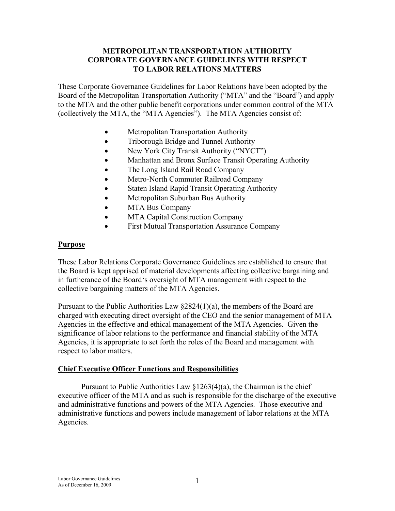### **METROPOLITAN TRANSPORTATION AUTHORITY CORPORATE GOVERNANCE GUIDELINES WITH RESPECT TO LABOR RELATIONS MATTERS**

These Corporate Governance Guidelines for Labor Relations have been adopted by the Board of the Metropolitan Transportation Authority ("MTA" and the "Board") and apply to the MTA and the other public benefit corporations under common control of the MTA (collectively the MTA, the "MTA Agencies"). The MTA Agencies consist of:

- Metropolitan Transportation Authority
- Triborough Bridge and Tunnel Authority
- New York City Transit Authority ("NYCT")
- Manhattan and Bronx Surface Transit Operating Authority
- The Long Island Rail Road Company
- Metro-North Commuter Railroad Company
- Staten Island Rapid Transit Operating Authority
- Metropolitan Suburban Bus Authority
- MTA Bus Company
- MTA Capital Construction Company
- First Mutual Transportation Assurance Company

#### **Purpose**

These Labor Relations Corporate Governance Guidelines are established to ensure that the Board is kept apprised of material developments affecting collective bargaining and in furtherance of the Board's oversight of MTA management with respect to the collective bargaining matters of the MTA Agencies.

Pursuant to the Public Authorities Law §2824(1)(a), the members of the Board are charged with executing direct oversight of the CEO and the senior management of MTA Agencies in the effective and ethical management of the MTA Agencies. Given the significance of labor relations to the performance and financial stability of the MTA Agencies, it is appropriate to set forth the roles of the Board and management with respect to labor matters.

### **Chief Executive Officer Functions and Responsibilities**

Pursuant to Public Authorities Law  $\S 1263(4)(a)$ , the Chairman is the chief executive officer of the MTA and as such is responsible for the discharge of the executive and administrative functions and powers of the MTA Agencies. Those executive and administrative functions and powers include management of labor relations at the MTA Agencies.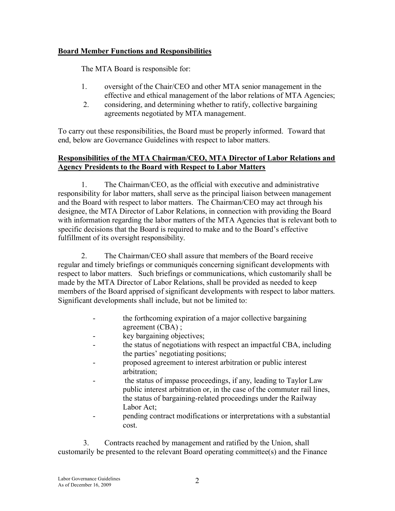# **Board Member Functions and Responsibilities**

The MTA Board is responsible for:

- 1. oversight of the Chair/CEO and other MTA senior management in the effective and ethical management of the labor relations of MTA Agencies;
- 2. considering, and determining whether to ratify, collective bargaining agreements negotiated by MTA management.

To carry out these responsibilities, the Board must be properly informed. Toward that end, below are Governance Guidelines with respect to labor matters.

# **Responsibilities of the MTA Chairman/CEO, MTA Director of Labor Relations and Agency Presidents to the Board with Respect to Labor Matters**

1. The Chairman/CEO, as the official with executive and administrative responsibility for labor matters, shall serve as the principal liaison between management and the Board with respect to labor matters. The Chairman/CEO may act through his designee, the MTA Director of Labor Relations, in connection with providing the Board with information regarding the labor matters of the MTA Agencies that is relevant both to specific decisions that the Board is required to make and to the Board's effective fulfillment of its oversight responsibility.

2. The Chairman/CEO shall assure that members of the Board receive regular and timely briefings or communiqués concerning significant developments with respect to labor matters. Such briefings or communications, which customarily shall be made by the MTA Director of Labor Relations, shall be provided as needed to keep members of the Board apprised of significant developments with respect to labor matters. Significant developments shall include, but not be limited to:

- the forthcoming expiration of a major collective bargaining agreement (CBA) ;
- key bargaining objectives;
- the status of negotiations with respect an impactful CBA, including the parties' negotiating positions;
- proposed agreement to interest arbitration or public interest arbitration;
- the status of impasse proceedings, if any, leading to Taylor Law public interest arbitration or, in the case of the commuter rail lines, the status of bargaining-related proceedings under the Railway Labor Act;
- pending contract modifications or interpretations with a substantial cost.

3. Contracts reached by management and ratified by the Union, shall customarily be presented to the relevant Board operating committee(s) and the Finance